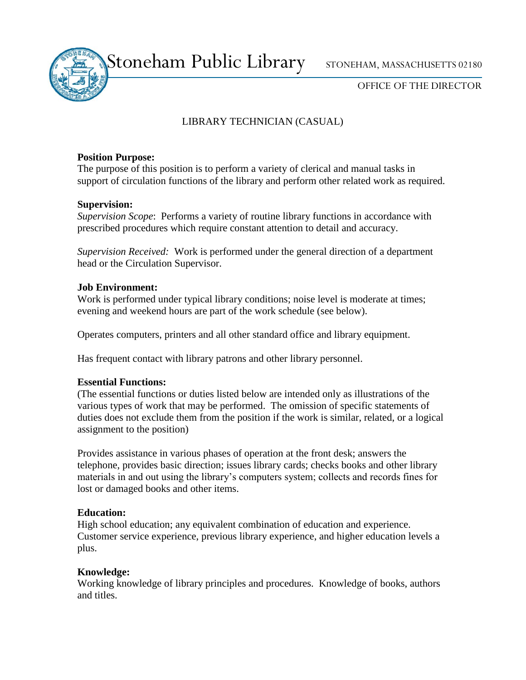Stoneham Public Library STONEHAM, MASSACHUSETTS 02180

OFFICE OF THE DIRECTOR

# LIBRARY TECHNICIAN (CASUAL)

## **Position Purpose:**

The purpose of this position is to perform a variety of clerical and manual tasks in support of circulation functions of the library and perform other related work as required.

## **Supervision:**

*Supervision Scope*: Performs a variety of routine library functions in accordance with prescribed procedures which require constant attention to detail and accuracy.

*Supervision Received:* Work is performed under the general direction of a department head or the Circulation Supervisor.

# **Job Environment:**

Work is performed under typical library conditions; noise level is moderate at times; evening and weekend hours are part of the work schedule (see below).

Operates computers, printers and all other standard office and library equipment.

Has frequent contact with library patrons and other library personnel.

# **Essential Functions:**

(The essential functions or duties listed below are intended only as illustrations of the various types of work that may be performed. The omission of specific statements of duties does not exclude them from the position if the work is similar, related, or a logical assignment to the position)

Provides assistance in various phases of operation at the front desk; answers the telephone, provides basic direction; issues library cards; checks books and other library materials in and out using the library's computers system; collects and records fines for lost or damaged books and other items.

#### **Education:**

High school education; any equivalent combination of education and experience. Customer service experience, previous library experience, and higher education levels a plus.

# **Knowledge:**

Working knowledge of library principles and procedures. Knowledge of books, authors and titles.